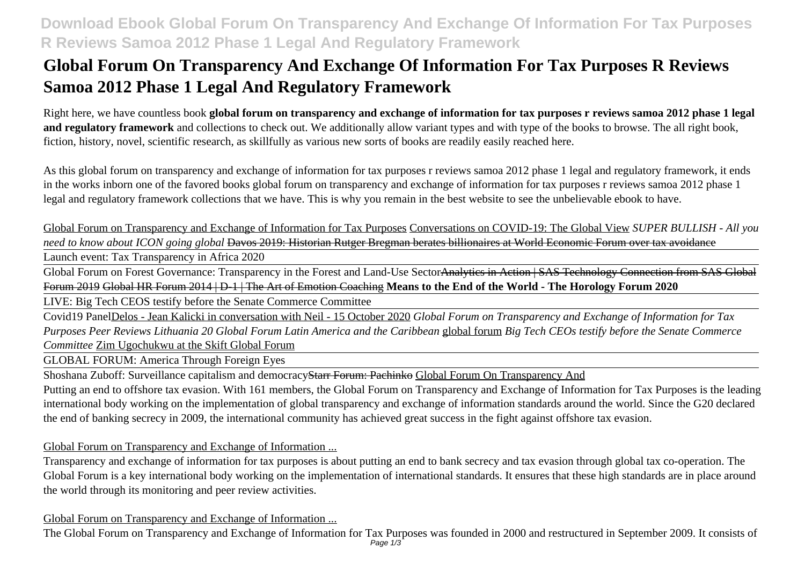## **Download Ebook Global Forum On Transparency And Exchange Of Information For Tax Purposes R Reviews Samoa 2012 Phase 1 Legal And Regulatory Framework**

# **Global Forum On Transparency And Exchange Of Information For Tax Purposes R Reviews Samoa 2012 Phase 1 Legal And Regulatory Framework**

Right here, we have countless book **global forum on transparency and exchange of information for tax purposes r reviews samoa 2012 phase 1 legal and regulatory framework** and collections to check out. We additionally allow variant types and with type of the books to browse. The all right book, fiction, history, novel, scientific research, as skillfully as various new sorts of books are readily easily reached here.

As this global forum on transparency and exchange of information for tax purposes r reviews samoa 2012 phase 1 legal and regulatory framework, it ends in the works inborn one of the favored books global forum on transparency and exchange of information for tax purposes r reviews samoa 2012 phase 1 legal and regulatory framework collections that we have. This is why you remain in the best website to see the unbelievable ebook to have.

Global Forum on Transparency and Exchange of Information for Tax Purposes Conversations on COVID-19: The Global View *SUPER BULLISH - All you need to know about ICON going global* Davos 2019: Historian Rutger Bregman berates billionaires at World Economic Forum over tax avoidance

Launch event: Tax Transparency in Africa 2020

Global Forum on Forest Governance: Transparency in the Forest and Land-Use SectorAnalytics in Action | SAS Technology Connection from SAS Global Forum 2019 Global HR Forum 2014 | D-1 | The Art of Emotion Coaching **Means to the End of the World - The Horology Forum 2020**

LIVE: Big Tech CEOS testify before the Senate Commerce Committee

Covid19 PanelDelos - Jean Kalicki in conversation with Neil - 15 October 2020 *Global Forum on Transparency and Exchange of Information for Tax Purposes Peer Reviews Lithuania 20 Global Forum Latin America and the Caribbean* global forum *Big Tech CEOs testify before the Senate Commerce Committee* Zim Ugochukwu at the Skift Global Forum

GLOBAL FORUM: America Through Foreign Eyes

Shoshana Zuboff: Surveillance capitalism and democracyStarr Forum: Pachinko Global Forum On Transparency And

Putting an end to offshore tax evasion. With 161 members, the Global Forum on Transparency and Exchange of Information for Tax Purposes is the leading international body working on the implementation of global transparency and exchange of information standards around the world. Since the G20 declared the end of banking secrecy in 2009, the international community has achieved great success in the fight against offshore tax evasion.

Global Forum on Transparency and Exchange of Information ...

Transparency and exchange of information for tax purposes is about putting an end to bank secrecy and tax evasion through global tax co-operation. The Global Forum is a key international body working on the implementation of international standards. It ensures that these high standards are in place around the world through its monitoring and peer review activities.

Global Forum on Transparency and Exchange of Information ...

The Global Forum on Transparency and Exchange of Information for Tax Purposes was founded in 2000 and restructured in September 2009. It consists of Page 1/3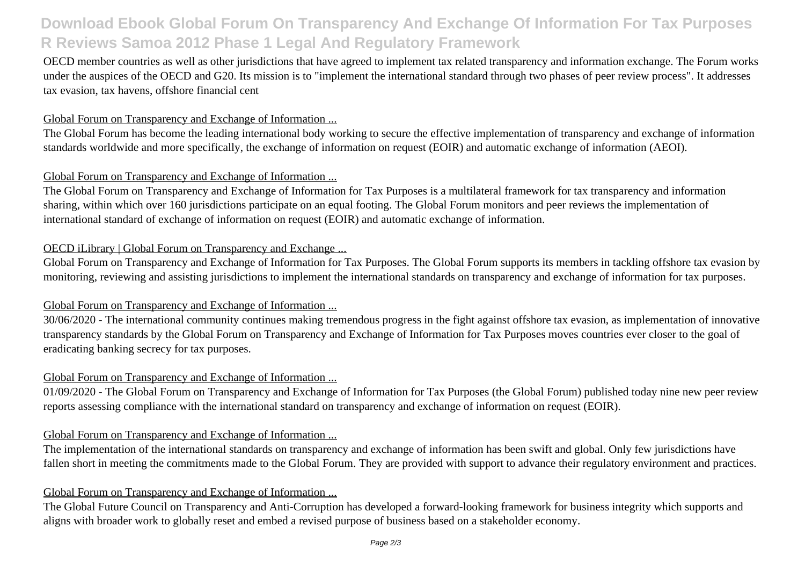## **Download Ebook Global Forum On Transparency And Exchange Of Information For Tax Purposes R Reviews Samoa 2012 Phase 1 Legal And Regulatory Framework**

OECD member countries as well as other jurisdictions that have agreed to implement tax related transparency and information exchange. The Forum works under the auspices of the OECD and G20. Its mission is to "implement the international standard through two phases of peer review process". It addresses tax evasion, tax havens, offshore financial cent

#### Global Forum on Transparency and Exchange of Information ...

The Global Forum has become the leading international body working to secure the effective implementation of transparency and exchange of information standards worldwide and more specifically, the exchange of information on request (EOIR) and automatic exchange of information (AEOI).

#### Global Forum on Transparency and Exchange of Information ...

The Global Forum on Transparency and Exchange of Information for Tax Purposes is a multilateral framework for tax transparency and information sharing, within which over 160 jurisdictions participate on an equal footing. The Global Forum monitors and peer reviews the implementation of international standard of exchange of information on request (EOIR) and automatic exchange of information.

#### OECD iLibrary | Global Forum on Transparency and Exchange ...

Global Forum on Transparency and Exchange of Information for Tax Purposes. The Global Forum supports its members in tackling offshore tax evasion by monitoring, reviewing and assisting jurisdictions to implement the international standards on transparency and exchange of information for tax purposes.

#### Global Forum on Transparency and Exchange of Information ...

30/06/2020 - The international community continues making tremendous progress in the fight against offshore tax evasion, as implementation of innovative transparency standards by the Global Forum on Transparency and Exchange of Information for Tax Purposes moves countries ever closer to the goal of eradicating banking secrecy for tax purposes.

### Global Forum on Transparency and Exchange of Information ...

01/09/2020 - The Global Forum on Transparency and Exchange of Information for Tax Purposes (the Global Forum) published today nine new peer review reports assessing compliance with the international standard on transparency and exchange of information on request (EOIR).

#### Global Forum on Transparency and Exchange of Information ...

The implementation of the international standards on transparency and exchange of information has been swift and global. Only few jurisdictions have fallen short in meeting the commitments made to the Global Forum. They are provided with support to advance their regulatory environment and practices.

#### Global Forum on Transparency and Exchange of Information ...

The Global Future Council on Transparency and Anti-Corruption has developed a forward-looking framework for business integrity which supports and aligns with broader work to globally reset and embed a revised purpose of business based on a stakeholder economy.